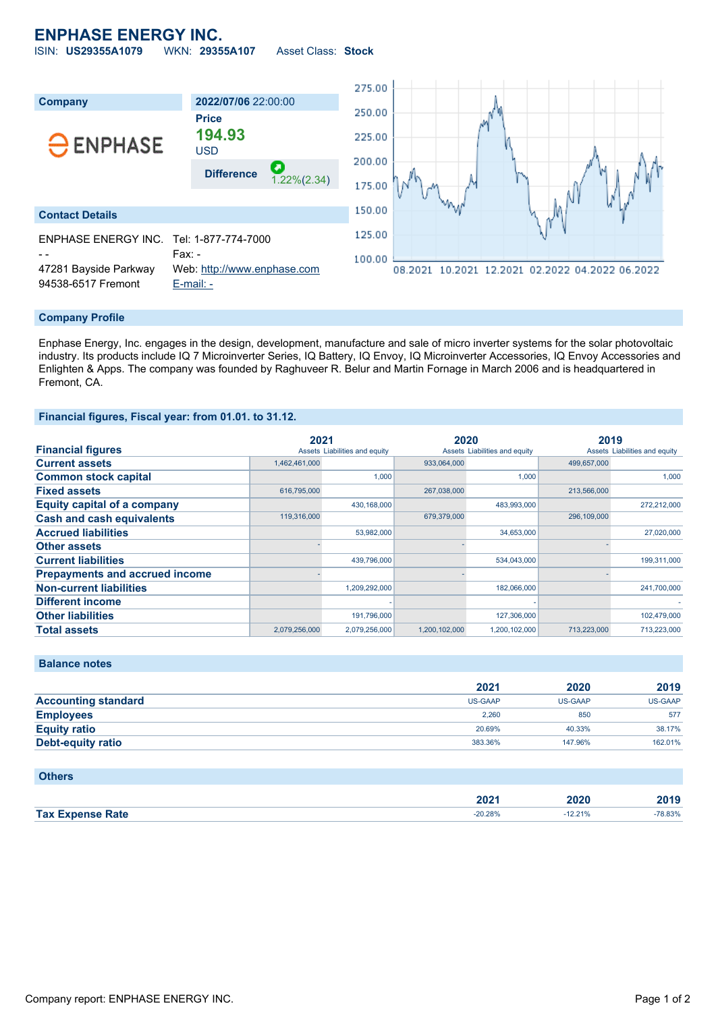## **ENPHASE ENERGY INC.**

ISIN: **US29355A1079** WKN: **29355A107** Asset Class: **Stock**



### **Company Profile**

Enphase Energy, Inc. engages in the design, development, manufacture and sale of micro inverter systems for the solar photovoltaic industry. Its products include IQ 7 Microinverter Series, IQ Battery, IQ Envoy, IQ Microinverter Accessories, IQ Envoy Accessories and Enlighten & Apps. The company was founded by Raghuveer R. Belur and Martin Fornage in March 2006 and is headquartered in Fremont, CA.

#### **Financial figures, Fiscal year: from 01.01. to 31.12.**

|                                       | 2021          |                               | 2020          |                               | 2019        |                               |
|---------------------------------------|---------------|-------------------------------|---------------|-------------------------------|-------------|-------------------------------|
| <b>Financial figures</b>              |               | Assets Liabilities and equity |               | Assets Liabilities and equity |             | Assets Liabilities and equity |
| <b>Current assets</b>                 | 1,462,461,000 |                               | 933,064,000   |                               | 499,657,000 |                               |
| <b>Common stock capital</b>           |               | 1.000                         |               | 1.000                         |             | 1.000                         |
| <b>Fixed assets</b>                   | 616,795,000   |                               | 267,038,000   |                               | 213,566,000 |                               |
| <b>Equity capital of a company</b>    |               | 430,168,000                   |               | 483,993,000                   |             | 272,212,000                   |
| <b>Cash and cash equivalents</b>      | 119,316,000   |                               | 679,379,000   |                               | 296,109,000 |                               |
| <b>Accrued liabilities</b>            |               | 53,982,000                    |               | 34,653,000                    |             | 27,020,000                    |
| <b>Other assets</b>                   |               |                               |               |                               |             |                               |
| <b>Current liabilities</b>            |               | 439,796,000                   |               | 534,043,000                   |             | 199,311,000                   |
| <b>Prepayments and accrued income</b> |               |                               |               |                               |             |                               |
| <b>Non-current liabilities</b>        |               | 1,209,292,000                 |               | 182,066,000                   |             | 241,700,000                   |
| <b>Different income</b>               |               |                               |               |                               |             |                               |
| <b>Other liabilities</b>              |               | 191,796,000                   |               | 127,306,000                   |             | 102,479,000                   |
| <b>Total assets</b>                   | 2,079,256,000 | 2.079.256.000                 | 1.200.102.000 | 1.200.102.000                 | 713.223.000 | 713.223.000                   |

**Balance notes**

**Others**

|                            | 2021    | 2020    | 2019           |
|----------------------------|---------|---------|----------------|
| <b>Accounting standard</b> | US-GAAP | US-GAAP | <b>US-GAAP</b> |
| <b>Employees</b>           | 2.260   | 850     | 577            |
| <b>Equity ratio</b>        | 20.69%  | 40.33%  | 38.17%         |
| <b>Debt-equity ratio</b>   | 383.36% | 147.96% | 162.01%        |

| <b>ULIGIS</b>           |           |        |        |
|-------------------------|-----------|--------|--------|
|                         |           |        |        |
|                         | 2021      | 2020   | 2019   |
| <b>Tax Expense Rate</b> | $-20.28%$ | 12.21% | 78.83% |